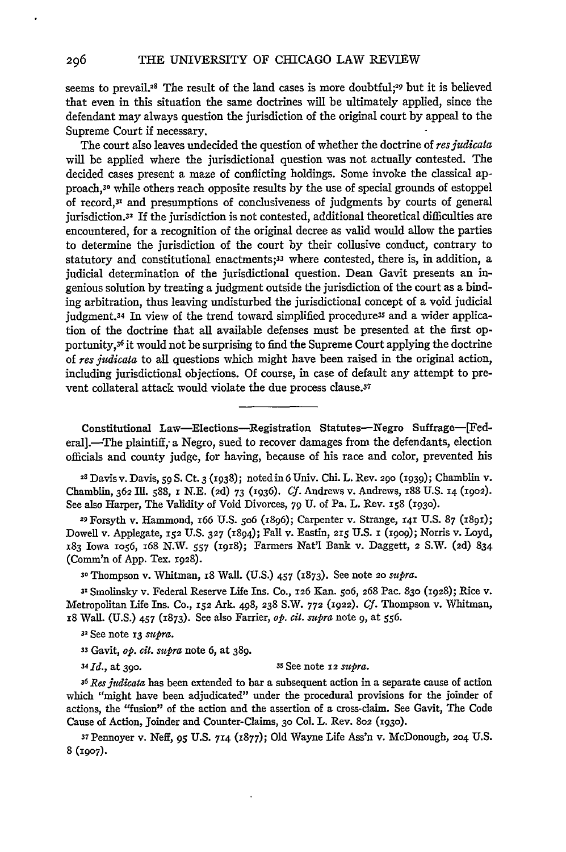seems to prevail.<sup>28</sup> The result of the land cases is more doubtful;<sup>29</sup> but it is believed that even in this situation the same doctrines will be ultimately applied, since the defendant may always question the jurisdiction of the original court by appeal to the Supreme Court if necessary.

The court also leaves undecided the question of whether the doctrine of *resjudicata* will be applied where the jurisdictional question was not actually contested. The decided cases present a maze of conflicting holdings. Some invoke the classical approach,3o while others reach opposite results by the use of special grounds of estoppel of record,3x and presumptions of conclusiveness of judgments by courts of general jurisdiction.32 If the jurisdiction is not contested, additional theoretical difficulties are encountered, for a recognition of the original decree as valid would allow the parties to determine the jurisdiction of the court by their collusive conduct, contrary to statutory and constitutional enactments;<sup>33</sup> where contested, there is, in addition, a judicial determination of the jurisdictional question. Dean Gavit presents an ingenious solution by treating a judgment outside the jurisdiction of the court as a binding arbitration, thus leaving undisturbed the jurisdictional concept of a void judicial judgment.34 In view of the trend toward simplified procedure3s and a wider application of the doctrine that all available defenses must be presented at the first opportunity,36 it would not be surprising to find the Supreme Court applying the doctrine of *res judicata* to all questions which might have been raised in the original action, including jurisdictional objections. Of course, in case of default any attempt to prevent collateral attack would violate the due process clause.37

Constitutional Law-Elections-Registration Statutes-Negro Suffrage-[Federal].-The plaintiff, a Negro, sued to recover damages from the defendants, election officials and county judge, for having, because of his race and color, prevented his

28 Davis v. Davis, *59* **S.** Ct. 3 **(1938);** noted in 6 Univ. Chi. L. Rev. **290 (1939);** Chamblin v. Chamblin, **362 Ill.** 588, **x N.E. (2d)** 73 (1936). *Cf.* Andrews v. Andrews, **i88 U.S. 14 (i902).** See also Harper, The Validity of Void Divorces, **79 U.** of Pa. L. Rev. *i58* **(1930).**

**<sup>29</sup>**Forsyth v. Hammond, i66 **U.S.** 5o6 (i896); Carpenter v. Strange, **141 U.S. 87 (i891);** Dowell v. Applegate, **i52** U.S. **327** (1894); Fall v. Eastin, 215 **U.S.** i **(i9o9);** Norris v. Loyd, 183 Iowa *io56,* **i68** N.W. 557 (i918); Farmers Nat'l Bank v. Daggett, **2** S.W. **(2d)** 834 (Comm'n of **App.** Tex. **X928).**

**3'** Thompson v. Whitman, i8 Wall. **(U.S.)** 457 (1873). See note 2o *supra.*

**3'** Smolinsky v. Federal Reserve Life Ins. **Co., 126** Kan. 5o6, **268** Pac. **830 (1928);** Rice v. Metropolitan Life Ins. **Co., 152** Ark. 498, **238** S.W. **772 (1922).** *Cf.* Thompson v. Whitman, **i8** Wall. **(U.S.)** 457 **(1873).** See also Farrier, *op. cit. supra* note *9,* at *556.*

**<sup>32</sup>**See note **13** *supra.*

33 Gavit, *op. cit. supra* note **6,** at 389.

*34Id.,* at 39o. 3s See note *22 supra.*

*36Resiudicata* has been extended to bar a subsequent action in a separate cause of action which "might have been adjudicated" under the procedural provisions for the joinder of actions, the "fusion" of the action and the assertion of a cross-claim. See Gavit, The Code Cause of Action, Joinder and Counter-Claims, **30** Col. L. Rev. **802 (1930).**

37Pennoyer v. Neff, 95 **U.S.** 714 (1877); **Old** Wayne Life **Ass'n** v. McDonough, 204 **U.S.** 8 **(1907).**

296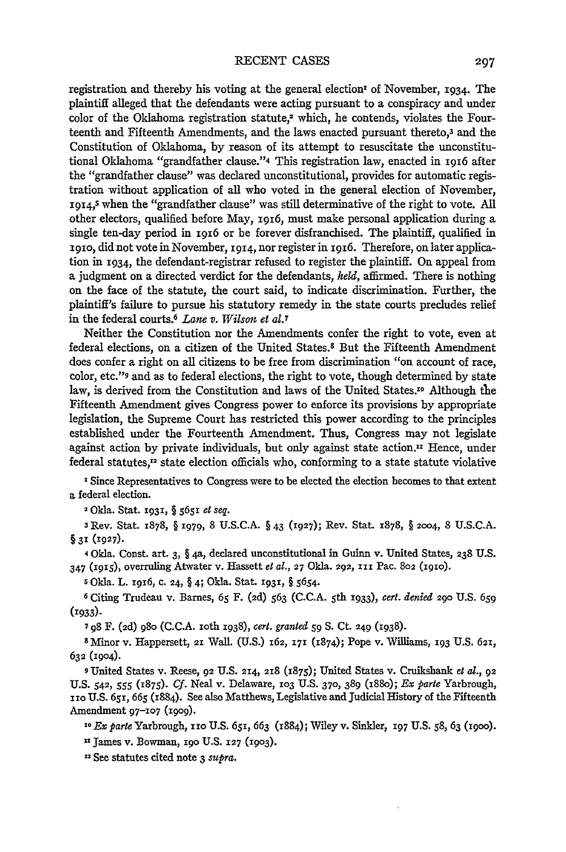registration and thereby his voting at the general election<sup> $\bf{r}$ </sup> of November, **1934**. The plaintiff alleged that the defendants were acting pursuant to a conspiracy and under color of the Oklahoma registration statute, $^2$  which, he contends, violates the Fourteenth and Fifteenth Amendments, and the laws enacted pursuant thereto,3 and the Constitution of Oklahoma, **by** reason of its attempt to resuscitate the unconstitutional Oklahoma "grandfather clause."4 This registration law, enacted in **1916** after the "grandfather clause" was declared unconstitutional, provides for automatic registration without application of all who voted in the general election of November, **1914,s** when the "grandfather clause" was still determinative of the right to vote. **All** other electors, qualified before May, 1916, must make personal application during a single ten-day period in **1916** or be forever disfranchised. The plaintiff, qualified in zgro, did not vote in November, **1914,** nor register in 1916. Therefore, on later application in **1934,** the defendant-registrar refused to register the plaintiff. On appeal from a judgment on a directed verdict for the defendants, *held,* affirmed. There is nothing on the face of the statute, the court said, to indicate discrimination. Further, the plaintiff's failure to pursue his statutory remedy in the state courts precludes relief in the federal courts.<sup>6</sup> Lane v. Wilson et al.7

Neither the Constitution nor the Amendments confer the right to vote, even at federal elections, on a citizen of the United States.8 But the Fifteenth Amendment does confer a right on all citizens to be free from discrimination "on account of race, color, etc."9 and as to federal elections, the right to vote, though determined **by** state law, is derived from the Constitution and laws of the United States.<sup>10</sup> Although the Fifteenth Amendment gives Congress power to enforce its provisions **by** appropriate legislation, the Supreme Court has restricted this power according to the principles established under the Fourteenth Amendment. Thus, Congress may not legislate against action by private individuals, but only against state action.<sup>11</sup> Hence, under federal statutes, $<sup>12</sup>$  state election officials who, conforming to a state statute violative</sup>

**I** Since Representatives to Congress were to be elected the election becomes to that extent a federal election.

2 Okla. Stat. **x931,** § **5651** *et seq.*

**<sup>3</sup>**Rev. Stat. 1878, § z979, 8 U.S.C.A. § **43** (1927); Rev. Stat. 1878, § **2004,** 8 U.S.C.A. **§ 31 (1927).**

4 Okla. Const. art. **3,** § 4a, declared unconstitutional in Guinn v. United States, **238** U.S. **<sup>347</sup>**(x915), overruling Atwater v. Hassett *et al.,* **27** Okla. **292, iii** Pac. **802** (1io).

*s* Okla. L. **I916, c. 24,** § **4;** Okla. Stat. **1931,** § 5654.

**6** Citing Trudeau v. Barnes, **65** F. **(2d) 563** (C.C.A. 5 th **1933),** *cert. denied* **290** U.S. 659 **(1933).**

**<sup>7</sup>98** F. (2d) 98o (C.C.A. ioth **1938),** *cert. granted* **59 S.** Ct. **249** (1938).

SMinor v. Happersett, **21** Wall. (U.S.) 162, **171** (1874); Pope v. Williams, **193** U.S. **621, 632 (1904).**

**9** United States v. Reese, **92 U.S.** 214, **218** *(1875);* United States v. Cruikshank *et* a., **92** U.S. 542, 555 (1875). *Cf.* Neal v. Delaware, **io3** U.S. **370,** 389 (88o); *Ex parte* Yarbrough, **11o** U.S. 651, **665** (1884). See also Matthews, Legislative and Judicial History of the Fifteenth Amendment 97-107 **(i9o9).**

**<sup>10</sup>***Ex parte* Yarbrough, iro U.S. 651, 663 (1884); Wiley v. Sinlder, **197** U.S. **58,** 63 **(I9oO).**

**,** James v. Bowman, **io** U.S. **127 (9o3).**

"See statutes cited note **3** *supra.*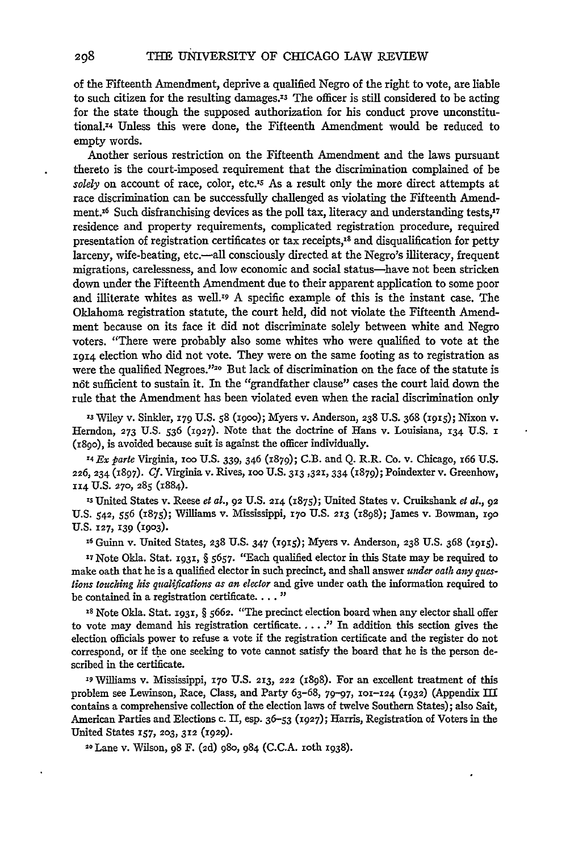of the Fifteenth Amendment, deprive a qualified Negro of the right to vote, are liable to such citizen for the resulting damages. $13$  The officer is still considered to be acting for the state though the supposed authorization for his conduct prove unconstitutional.<sup>74</sup> Unless this were done, the Fifteenth Amendment would be reduced to empty words.

Another serious restriction on the Fifteenth Amendment and the laws pursuant thereto is the court-imposed requirement that the discrimination complained of be *solely* on account of race, color, etc.'s As a result only the more direct attempts at race discrimination can be successfully challenged as violating the Fifteenth Amendment.<sup>16</sup> Such disfranchising devices as the poll tax, literacy and understanding tests,<sup>17</sup> residence and property requirements, complicated registration procedure, required presentation of registration certificates or tax receipts,<sup>18</sup> and disqualification for petty larceny, wife-beating, etc.--all consciously directed at the Negro's illiteracy, frequent migrations, carelessness, and low economic and social status-have not been stricken down under the Fifteenth Amendment due to their apparent application to some poor and illiterate whites as well.19 A specific example of this is the instant case. The Oklahoma registration statute, the court held, did not violate the Fifteenth Amendment because on its face it did not discriminate solely between white and Negro voters. "There were probably also some whites who were qualified to vote at the **1914** election who did not vote. They were on the same footing as to registration as were the qualified Negroes."<sup>20</sup> But lack of discrimination on the face of the statute is n6t sufficient to sustain it. In the "grandfather clause" cases the court laid down the rule that the Amendment has been violated even when the racial discrimination only

**'3** Wiley v. Sinkler, **179** U.S. **58** (igoo); Myers v. Anderson, **238** U.S. 368 **(I9IS);** Nixon v. Herndon, **273** U.S. 536 **(X927).** Note that the doctrine of Hans v. Louisiana, x34 U.S. **I** (i89o), is avoided because suit is against the officer individually.

X4 Ex *parte* Virginia, **100** U.S. **339,** 346 (1879); C.B. and Q. R.R. Co. v. Chicago, 166 U.S. **226,** 234 **(1897).** *Cf.* Virginia v. Rives, **100** U.S. 313,321, **334** (1879); Poindexter v. Greenhow, **114 U.S. 270, 285** (1884).

**Is** United States v. Reese *et al.,* **92** U.S. **214** (1875); United States v. Cruikshank *et al.,* **<sup>92</sup> U.S.** 542, **556** (1875); Williams v. Mississippi, **170 U.S. 213** (I898); James v. Bowman, **i9o U.S.** 127, **139 (1903).**

**x6** Guinn v. United States, **238 U.S. 347** (1915); Myers v. Anderson, **238 U.S.** 368 **(i915).**

**<sup>17</sup>**Note Okla. Stat. **1931,** § 5657. "Each qualified elector in this State may be required to make oath that he is a qualified elector in such precinct, and shall answer *under oath any queslions touching his qualifications as an elector* and give under oath the information required to be contained in a registration certificate.... **"**

**IS** Note Okla. Stat. **1931,** § **5662.** "The precinct election board when any elector shall offer to vote may demand his registration certificate **......"** In addition this section gives the election officials power to refuse a vote if the registration certificate and the register do not correspond, or if the one seeking to vote cannot satisfy the board that he is the person described in the certificate.

**1** Williams v. Mississippi, **170** U.S. **213, 222 (x898).** For an excellent treatment of this problem see Lewinson, Race, Class, and Party 63-68, 79-97, **101-124 (1932)** (Appendix **II** contains a comprehensive collection of the election laws of twelve Southern States); also Salt, American Parties and Elections c. **II,** esp. **36-53 (1927);** Harris, Registration of Voters in the United States **157, 203, 312 (1929).**

**20** Lane v. Wilson, **98** F. **(2d)** 98o, 984 **(C.C.A.** ioth **1938).**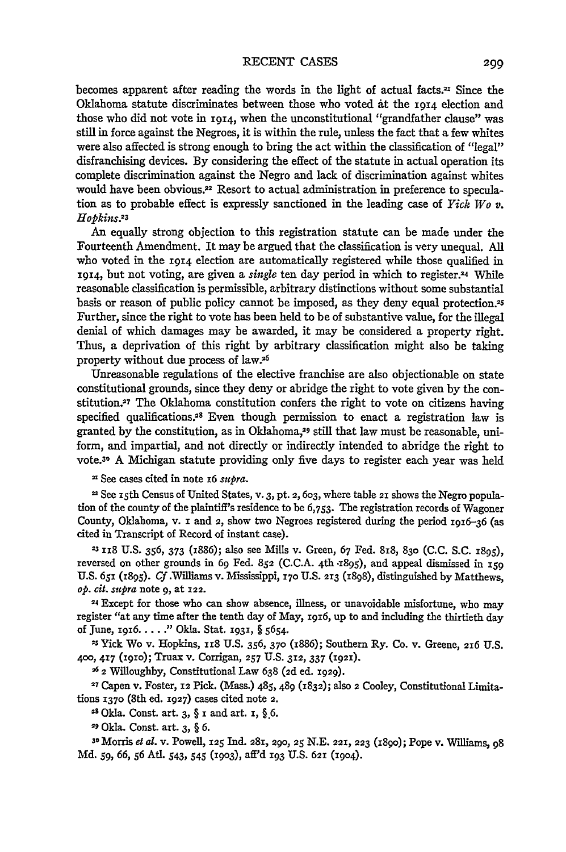becomes apparent after reading the words in the light of actual facts.<sup>21</sup> Since the Oklahoma statute discriminates between those who voted ft the **1914** election and those who did not vote in **1914,** when the unconstitutional "grandfather clause" was still in force against the Negroes, it is within the rule, unless the fact that a few whites were also affected is strong enough to bring the act within the classification of "legal" disfranchising devices. By considering the effect of the statute in actual operation its complete discrimination against the Negro and lack of discrimination against whites would have been obvious.22 Resort to actual administration in preference to speculation as to probable effect is expressly sanctioned in the leading case of *Yick Wo v. Hopkins.23*

An equally strong objection to this registration statute can be made under the Fourteenth Amendment. It may be argued that the classification is very unequal. All who voted in the **1914** election are automatically registered while those qualified in **'914,** but not voting, are given a *single* ten day period in which to register.4 While reasonable classification is permissible, arbitrary distinctions without some substantial basis or reason of public policy cannot be imposed, as they deny equal protection.'s Further, since the right to vote has been held to be of substantive value, for the illegal denial of which damages may be awarded, it may be considered a property right. Thus, a deprivation of this right by arbitrary classification might also be taking property without due process of law.<sup>26</sup>

Unreasonable regulations of the elective franchise are also objectionable on state constitutional grounds, since they deny or abridge the right to vote given by the constitution.27 The Oklahoma constitution confers the right to vote on citizens having specified qualifications.28 Even though permission to enact a registration law is granted by the constitution, as in Oklahoma,<sup>29</sup> still that law must be reasonable, uniform, and impartial, and not directly or indirectly intended to abridge the right to vote. 30 A Michigan statute providing only five days to register each year was held

" See cases cited in note 16 *supra.*

<sup>22</sup> See 15th Census of United States, v. 3, pt. 2, 603, where table 21 shows the Negro population of the county of the plaintiff's residence to be 6,753. The registration records of Wagoner County, Oklahoma, v. i and **2,** show two Negroes registered during the period 1916-36 (as cited in Transcript of Record of instant case).

*23* **i8** U.S. 356, **373** (1886); also see Mills v. Green, **67** Fed. 818, 830 (C.C. S.C. 1895), reversed on other grounds in 69 Fed. 852 (C.C.A. 4th x895), and appeal dismissed in 159 U.S. 651 (1895). *Cf* .Williams v. Mississippi, **I 70** U.S. 213 (i898), distinguished by Matthews, *op. cit. supra* note 9, at **122.**

**'4** Except for those who can show absence, illness, or unavoidable misfortune, who may register "at any time after the tenth day of May, **z96,** up to and including the thirtieth day of June, z96 **..... "** Okla. Stat. **1931,** § **5654.**

2s Yick Wo v. Hopkins, 1i8 U.S. 356, **370** (i886); Southern Ry. Co. v. Greene, **26** U.S. **400, 417 (I9IO);** Truax v. Corrigan, **257 U.S. 312,** 337 **(1921).**

**2** Willoughby, Constitutional Law 638 **(2d** ed. X929).

**27** Capen v. Foster, *12* Pick. (Mass.) 485, 489 (1832); also *2* Cooley, Constitutional Limitations **1370** (8th ed. **1927)** cases cited note **2.**

<sup>28</sup> Okla. Const. art. 3, § **I** and art. 1, § 6.

**"9** Okla. Const. art. 3, § *6.*

**<sup>30</sup>**Morris *e al.* v. Powell, **125** Ind. 28I, **290, 25** N.E. **22X, 223** (i89o); Pope v. Williams, 98 **Md. 59,** 66, **56** Atl. 543, 545 **(I9O3),** aff'd **193 U.S.** 621 **(1904).**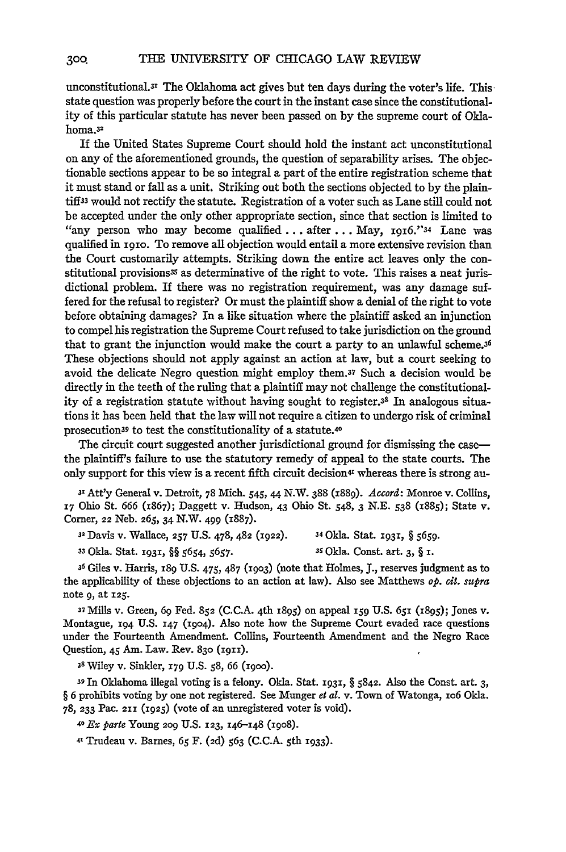unconstitutional.3r The Oklahoma act gives but ten days during the voter's life. This state question was properly before the court in the instant case since the constitutionality of this particular statute has never been passed on **by** the supreme court of Oklahoma.32

If the United States Supreme Court should hold the instant act unconstitutional on any of the aforementioned grounds, the question of separability arises. The objectionable sections appear to be so integral a part of the entire registration scheme that it must stand or fall as a unit. Striking out both the sections objected to **by** the plaintiffs3 would not rectify the statute. Registration of a voter such as Lane **still** could not be accepted under the only other appropriate section, since that section is limited to "any person who may become qualified **...** after **...** May, 1916."34 Lane was qualified in igio. To remove all objection would entail a more extensive revision than the Court customarily attempts. Striking down the entire act leaves only the constitutional provisions<sup>35</sup> as determinative of the right to vote. This raises a neat jurisdictional problem. If there was no registration requirement, was any damage suffered for the refusal to register? Or must the plaintiff show a denial of the right to vote before obtaining damages? In a like situation where the plaintiff asked an injunction to compel his registration the Supreme Court refused to take jurisdiction on the ground that to grant the injunction would make the court a party to an unlawful scheme.3<sup>6</sup> These objections should not apply against an action at law, but a court seeking to avoid the delicate Negro question might employ them.37 Such a decision would be directly in the teeth of the ruling that a plaintiff may not challenge the constitutionality of a registration statute without having sought to register.38 In analogous situations it has been held that the law will not require a citizen to undergo risk of criminal prosecution39 to test the constitutionality of a statute.40

The circuit court suggested another jurisdictional ground for dismissing the casethe plaintiff's failure to use the statutory remedy of appeal to the state courts. The only support for this view is a recent fifth circuit decision<sup>41</sup> whereas there is strong au-

**3P** Att'y General v. Detroit, **78** Mich. 545, 44 N.W. 388 (z889). *Accord:* Monroe v. Collins, **17** Ohio St. **666** (1867); Daggett v. Hudson, 43 Ohio St. **548,** 3 **N.E. 538 (x885);** State v. Corner, 22 Neb. **265, 34** N.W. 499 (1887).

| <sup>32</sup> Davis v. Wallace, 257 U.S. 478, 482 (1922). | <sup>34</sup> Okla. Stat. 1931, § 5659.    |
|-----------------------------------------------------------|--------------------------------------------|
| <sup>33</sup> Okla. Stat. 1931, §§ 5654, 5657.            | <sup>35</sup> Okla. Const. art. $3, \S$ I. |

**<sup>36</sup>**Giles v. Harris, **189 U.S.** 475, **487 (1903)** (note that Holmes, **J.,** reserves judgment as to the applicability of these objections to an action at law). Also see Matthews *op. cit. supra* note **9,** at **125.**

**<sup>37</sup>Mills** v. Green, **69 Fed. 852 (C.C.A.** 4th **1895)** on appeal **159 U.S. 6,i (I895);** Jones v. Montague, **194 U.S. 147 (19o4).** Also note how the Supreme Court evaded race questions under the Fourteenth Amendment. Collins, Fourteenth Amendment and the Negro Race Question, 45 Am. Law. Rev. 830 (1911).

**<sup>38</sup>**Wiley v. Sinkler, 179 **U.S. 58, 66** (iioo).

**39 In** Oklahoma illegal voting is a felony. Okla. Stat. **1931,** § 5842. Also the Const. art. 3, § **6** prohibits voting by one not registered. See Munger *et al.* v. Town of Watonga, io6 Okla. 78, **233 Pac. 211** (1925) (vote of an unregistered voter is void).

*40 EX parte* **Young** 209 U.S. **123,** 146-148 **(igo8).**

41 Trudeau v. **Barnes,** *65* F. (2d) **563 (C.C.A.** 5th 1933).